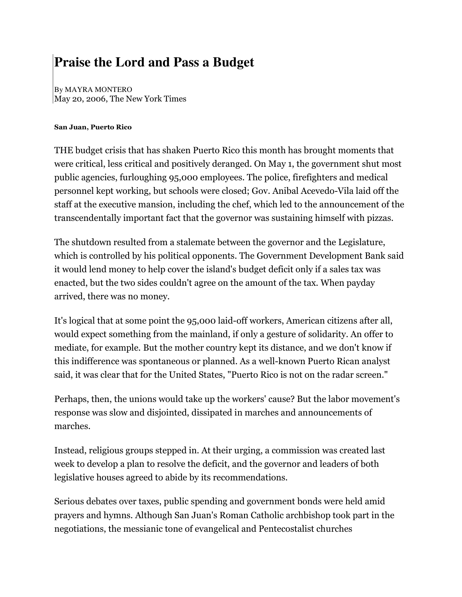## **Praise the Lord and Pass a Budget**

By MAYRA MONTERO May 20, 2006, The New York Times

## San Juan, Puerto Rico

THE budget crisis that has shaken Puerto Rico this month has brought moments that were critical, less critical and positively deranged. On May 1, the government shut most public agencies, furloughing 95,000 employees. The police, firefighters and medical personnel kept working, but schools were closed; Gov. Anibal Acevedo-Vila laid off the staff at the executive mansion, including the chef, which led to the announcement of the transcendentally important fact that the governor was sustaining himself with pizzas.

The shutdown resulted from a stalemate between the governor and the Legislature, which is controlled by his political opponents. The Government Development Bank said it would lend money to help cover the island's budget deficit only if a sales tax was enacted, but the two sides couldn't agree on the amount of the tax. When payday arrived, there was no money.

It's logical that at some point the 95,000 laid-off workers, American citizens after all, would expect something from the mainland, if only a gesture of solidarity. An offer to mediate, for example. But the mother country kept its distance, and we don't know if this indifference was spontaneous or planned. As a well-known Puerto Rican analyst said, it was clear that for the United States, "Puerto Rico is not on the radar screen."

Perhaps, then, the unions would take up the workers' cause? But the labor movement's response was slow and disjointed, dissipated in marches and announcements of marches.

Instead, religious groups stepped in. At their urging, a commission was created last week to develop a plan to resolve the deficit, and the governor and leaders of both legislative houses agreed to abide by its recommendations.

Serious debates over taxes, public spending and government bonds were held amid prayers and hymns. Although San Juan's Roman Catholic archbishop took part in the negotiations, the messianic tone of evangelical and Pentecostalist churches